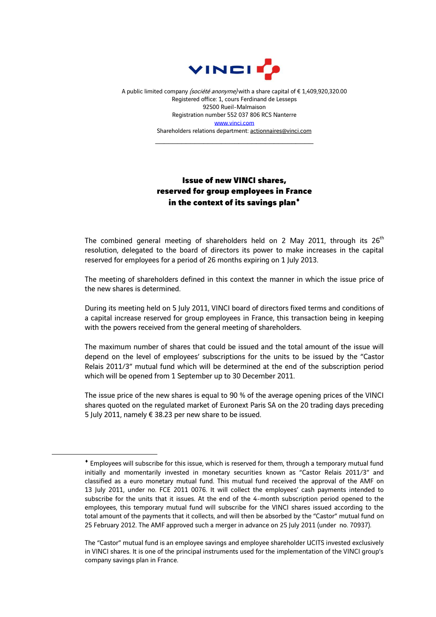

A public limited company (société anonyme) with a share capital of €1,409,920,320.00 Registered office: 1, cours Ferdinand de Lesseps 92500 Rueil-Malmaison Registration number 552 037 806 RCS Nanterre [www.vinci.com](http://www.vinci.com/) Shareholders relations department: actionnaires@vinci.com

\_\_\_\_\_\_\_\_\_\_\_\_\_\_\_\_\_\_\_\_\_\_\_\_\_\_\_\_\_\_\_\_\_\_\_\_

## Issue of new VINCI shares, reserved for group employees in France in the context of its savings plan<sup>+</sup>

The combined general meeting of shareholders held on 2 May 2011, through its 26<sup>th</sup> resolution, delegated to the board of directors its power to make increases in the capital reserved for employees for a period of 26 months expiring on 1 July 2013.

The meeting of shareholders defined in this context the manner in which the issue price of the new shares is determined.

During its meeting held on 5 July 2011, VINCI board of directors fixed terms and conditions of a capital increase reserved for group employees in France, this transaction being in keeping with the powers received from the general meeting of shareholders.

The maximum number of shares that could be issued and the total amount of the issue will depend on the level of employees' subscriptions for the units to be issued by the "Castor Relais 2011/3" mutual fund which will be determined at the end of the subscription period which will be opened from 1 September up to 30 December 2011.

The issue price of the new shares is equal to 90 % of the average opening prices of the VINCI shares quoted on the regulated market of Euronext Paris SA on the 20 trading days preceding 5 July 2011, namely € 38.23 per new share to be issued.

1

Employees will subscribe for this issue, which is reserved for them, through a temporary mutual fund initially and momentarily invested in monetary securities known as "Castor Relais 2011/3" and classified as a euro monetary mutual fund. This mutual fund received the approval of the AMF on 13 July 2011, under no. FCE 2011 0076. It will collect the employees' cash payments intended to subscribe for the units that it issues. At the end of the 4-month subscription period opened to the employees, this temporary mutual fund will subscribe for the VINCI shares issued according to the total amount of the payments that it collects, and will then be absorbed by the "Castor" mutual fund on 25 February 2012. The AMF approved such a merger in advance on 25 July 2011 (under no. 70937).

The "Castor" mutual fund is an employee savings and employee shareholder UCITS invested exclusively in VINCI shares. It is one of the principal instruments used for the implementation of the VINCI group's company savings plan in France.